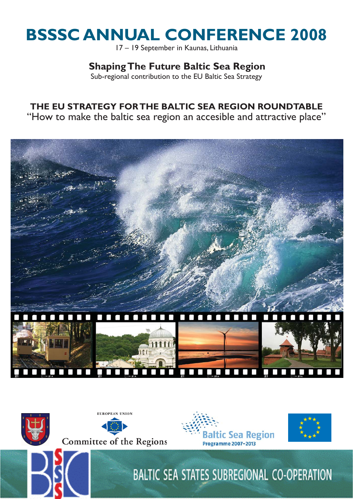# **BSSSC ANNUAL CONFERENCE 2008**

17 – 19 September in Kaunas, Lithuania

## **Shaping The Future Baltic Sea Region**

Sub-regional contribution to the EU Baltic Sea Strategy

## **THE EU STRATEGY FOR THE BALTIC SEA REGION ROUNDTABLE**

"How to make the baltic sea region an accesible and attractive place"



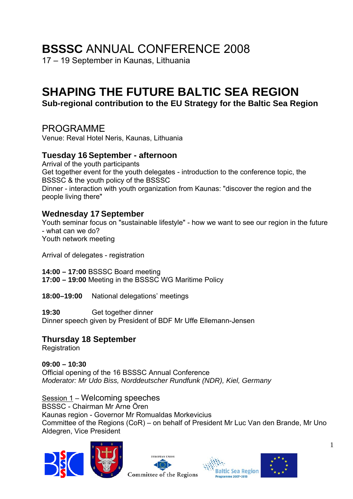## **BSSSC** ANNUAL CONFERENCE 2008

17 – 19 September in Kaunas, Lithuania

## **SHAPING THE FUTURE BALTIC SEA REGION**

**Sub-regional contribution to the EU Strategy for the Baltic Sea Region** 

## PROGRAMME

Venue: Reval Hotel Neris, Kaunas, Lithuania

### **Tuesday 16 September - afternoon**

Arrival of the youth participants Get together event for the youth delegates - introduction to the conference topic, the BSSSC & the youth policy of the BSSSC Dinner - interaction with youth organization from Kaunas: "discover the region and the people living there"

## **Wednesday 17 September**

Youth seminar focus on "sustainable lifestyle" - how we want to see our region in the future - what can we do? Youth network meeting

Arrival of delegates - registration

**14:00 – 17:00** BSSSC Board meeting **17:00 – 19:00** Meeting in the BSSSC WG Maritime Policy

**18:00–19:00** National delegations' meetings

**19:30** Get together dinner Dinner speech given by President of BDF Mr Uffe Ellemann-Jensen

## **Thursday 18 September**

**Registration** 

**09:00 – 10:30**  Official opening of the 16 BSSSC Annual Conference *Moderator: Mr Udo Biss, Norddeutscher Rundfunk (NDR), Kiel, Germany* 

Session 1 – Welcoming speeches BSSSC - Chairman Mr Arne Ören Kaunas region - Governor Mr Romualdas Morkevicius Committee of the Regions (CoR) – on behalf of President Mr Luc Van den Brande, Mr Uno Aldegren, Vice President







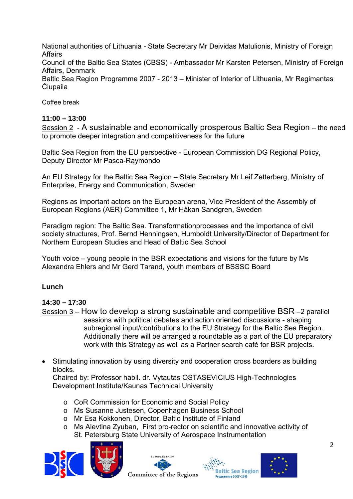National authorities of Lithuania - State Secretary Mr Deividas Matulionis, Ministry of Foreign Affairs

Council of the Baltic Sea States (CBSS) - Ambassador Mr Karsten Petersen, Ministry of Foreign Affairs, Denmark

Baltic Sea Region Programme 2007 - 2013 – Minister of Interior of Lithuania, Mr Regimantas Čiupaila

Coffee break

#### **11:00 – 13:00**

Session 2 - A sustainable and economically prosperous Baltic Sea Region – the need to promote deeper integration and competitiveness for the future

Baltic Sea Region from the EU perspective - European Commission DG Regional Policy, Deputy Director Mr Pasca-Raymondo

An EU Strategy for the Baltic Sea Region – State Secretary Mr Leif Zetterberg, Ministry of Enterprise, Energy and Communication, Sweden

Regions as important actors on the European arena, Vice President of the Assembly of European Regions (AER) Committee 1, Mr Håkan Sandgren, Sweden

Paradigm region: The Baltic Sea. Transformationprocesses and the importance of civil society structures, Prof. Bernd Henningsen, Humboldt University/Director of Department for Northern European Studies and Head of Baltic Sea School

Youth voice – young people in the BSR expectations and visions for the future by Ms Alexandra Ehlers and Mr Gerd Tarand, youth members of BSSSC Board

#### **Lunch**

#### **14:30 – 17:30**

- Session  $3$  How to develop a strong sustainable and competitive BSR –2 parallel sessions with political debates and action oriented discussions - shaping subregional input/contributions to the EU Strategy for the Baltic Sea Region. Additionally there will be arranged a roundtable as a part of the EU preparatory work with this Strategy as well as a Partner search café for BSR projects.
- Stimulating innovation by using diversity and cooperation cross boarders as building blocks.

Chaired by: Professor habil. dr. Vytautas OSTASEVICIUS High-Technologies Development Institute/Kaunas Technical University

- o CoR Commission for Economic and Social Policy
- o Ms Susanne Justesen, Copenhagen Business School
- o Mr Esa Kokkonen, Director, Baltic Institute of Finland
- o Ms Alevtina Zyuban, First pro-rector on scientific and innovative activity of St. Petersburg State University of Aerospace Instrumentation







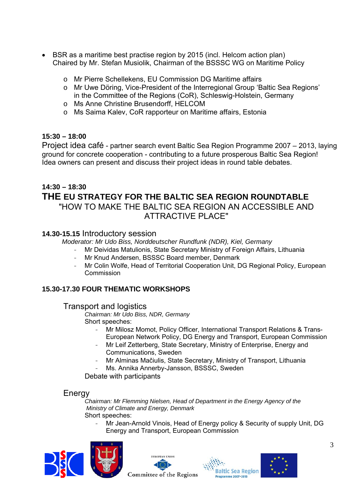- BSR as a maritime best practise region by 2015 (incl. Helcom action plan) Chaired by Mr. Stefan Musiolik, Chairman of the BSSSC WG on Maritime Policy
	- o Mr Pierre Schellekens, EU Commission DG Maritime affairs
	- o Mr Uwe Döring, Vice-President of the Interregional Group 'Baltic Sea Regions' in the Committee of the Regions (CoR), Schleswig-Holstein, Germany
	- o Ms Anne Christine Brusendorff, HELCOM
	- o Ms Saima Kalev, CoR rapporteur on Maritime affairs, Estonia

#### **15:30 – 18:00**

Project idea café - partner search event Baltic Sea Region Programme 2007 – 2013, laying ground for concrete cooperation - contributing to a future prosperous Baltic Sea Region! Idea owners can present and discuss their project ideas in round table debates.

#### **14:30 – 18:30 THE EU STRATEGY FOR THE BALTIC SEA REGION ROUNDTABLE**  "HOW TO MAKE THE BALTIC SEA REGION AN ACCESSIBLE AND ATTRACTIVE PLACE"

#### **14.30-15.15** Introductory session

 *Moderator: Mr Udo Biss, Norddeutscher Rundfunk (NDR), Kiel, Germany* 

- Mr Deividas Matulionis, State Secretary Ministry of Foreign Affairs, Lithuania
- Mr Knud Andersen, BSSSC Board member, Denmark
- Mr Colin Wolfe, Head of Territorial Cooperation Unit, DG Regional Policy, European Commission

#### **15.30-17.30 FOUR THEMATIC WORKSHOPS**

#### Transport and logistics

*Chairman: Mr Udo Biss, NDR, Germany*  Short speeches:

- Mr Milosz Momot, Policy Officer, International Transport Relations & Trans-European Network Policy, DG Energy and Transport, European Commission
- Mr Leif Zetterberg, State Secretary, Ministry of Enterprise, Energy and Communications, Sweden
- Mr Alminas Mačiulis, State Secretary, Ministry of Transport, Lithuania
- Ms. Annika Annerby-Jansson, BSSSC, Sweden

Debate with participants

#### Energy

*Chairman: Mr Flemming Nielsen, Head of Department in the Energy Agency of the Ministry of Climate and Energy, Denmark*  Short speeches:

Mr Jean-Arnold Vinois, Head of Energy policy & Security of supply Unit, DG Energy and Transport, European Commission







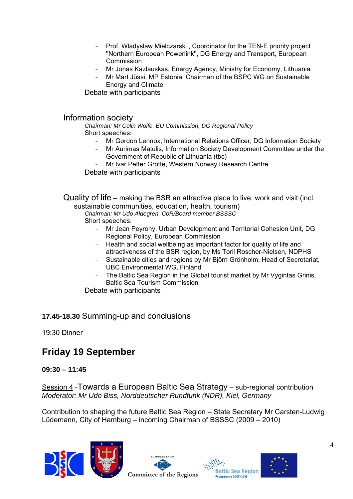- Prof. Wladyslaw Mielczarski, Coordinator for the TEN-E priority project ''Northern European Powerlink'', DG Energy and Transport, European Commission
- Mr Jonas Kazlauskas, Energy Agency, Ministry for Economy, Lithuania
- Mr Mart Jüssi, MP Estonia, Chairman of the BSPC WG on Sustainable Energy and Climate

Debate with participants

#### Information society

*Chairman: Mr Colin Wolfe, EU Commission, DG Regional Policy*  Short speeches:

- Mr Gordon Lennox, International Relations Officer, DG Information Society
- Mr Aurimas Matulis, Information Society Development Committee under the Government of Republic of Lithuania (tbc)
- Mr Ivar Petter Grötte, Western Norway Research Centre

Debate with participants

Quality of life – making the BSR an attractive place to live, work and visit (incl. sustainable communities, education, health, tourism)

*Chairman: Mr Udo Aldegren, CoR/Board member BSSSC*  Short speeches:

- Mr Jean Peyrony, Urban Development and Territorial Cohesion Unit, DG Regional Policy, European Commission
- Health and social wellbeing as important factor for quality of life and attractiveness of the BSR region, by Ms Toril Roscher-Nielsen, NDPHS
- Sustainable cities and regions by Mr Björn Grönholm, Head of Secretariat, UBC Environmental WG, Finland
- The Baltic Sea Region in the Global tourist market by Mr Vygintas Grinis, Baltic Sea Tourism Commission

Debate with participants

**17.45-18.30** Summing-up and conclusions

19:30 Dinner

## **Friday 19 September**

#### **09:30 – 11:45**

Session 4 -Towards a European Baltic Sea Strategy – sub-regional contribution *Moderator: Mr Udo Biss, Norddeutscher Rundfunk (NDR), Kiel, Germany* 

Contribution to shaping the future Baltic Sea Region – State Secretary Mr Carsten-Ludwig Lüdemann, City of Hamburg – incoming Chairman of BSSSC (2009 – 2010)